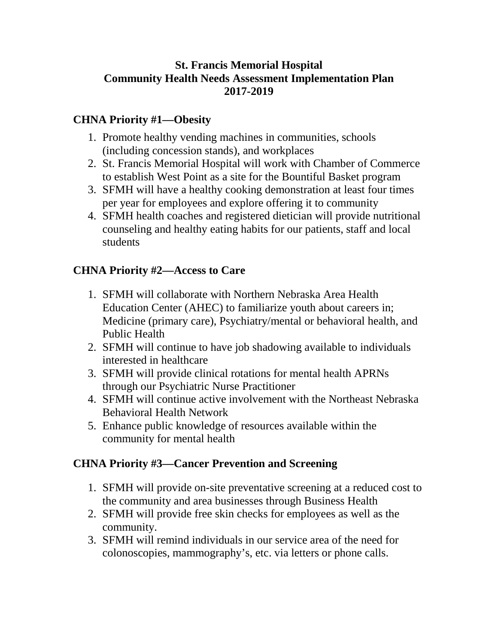## **St. Francis Memorial Hospital Community Health Needs Assessment Implementation Plan 2017-2019**

## **CHNA Priority #1—Obesity**

- 1. Promote healthy vending machines in communities, schools (including concession stands), and workplaces
- 2. St. Francis Memorial Hospital will work with Chamber of Commerce to establish West Point as a site for the Bountiful Basket program
- 3. SFMH will have a healthy cooking demonstration at least four times per year for employees and explore offering it to community
- 4. SFMH health coaches and registered dietician will provide nutritional counseling and healthy eating habits for our patients, staff and local students

#### **CHNA Priority #2—Access to Care**

- 1. SFMH will collaborate with Northern Nebraska Area Health Education Center (AHEC) to familiarize youth about careers in; Medicine (primary care), Psychiatry/mental or behavioral health, and Public Health
- 2. SFMH will continue to have job shadowing available to individuals interested in healthcare
- 3. SFMH will provide clinical rotations for mental health APRNs through our Psychiatric Nurse Practitioner
- 4. SFMH will continue active involvement with the Northeast Nebraska Behavioral Health Network
- 5. Enhance public knowledge of resources available within the community for mental health

## **CHNA Priority #3—Cancer Prevention and Screening**

- 1. SFMH will provide on-site preventative screening at a reduced cost to the community and area businesses through Business Health
- 2. SFMH will provide free skin checks for employees as well as the community.
- 3. SFMH will remind individuals in our service area of the need for colonoscopies, mammography's, etc. via letters or phone calls.